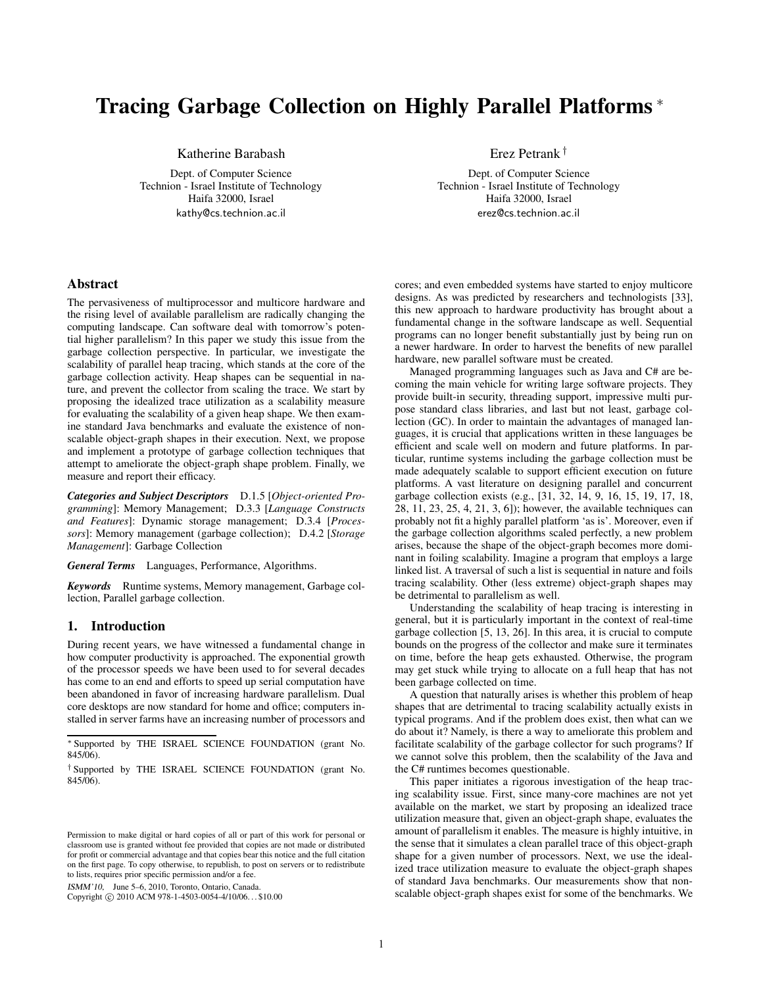# Tracing Garbage Collection on Highly Parallel Platforms <sup>∗</sup>

Katherine Barabash

Dept. of Computer Science Technion - Israel Institute of Technology Haifa 32000, Israel kathy@cs.technion.ac.il

Erez Petrank †

Dept. of Computer Science Technion - Israel Institute of Technology Haifa 32000, Israel erez@cs.technion.ac.il

# Abstract

The pervasiveness of multiprocessor and multicore hardware and the rising level of available parallelism are radically changing the computing landscape. Can software deal with tomorrow's potential higher parallelism? In this paper we study this issue from the garbage collection perspective. In particular, we investigate the scalability of parallel heap tracing, which stands at the core of the garbage collection activity. Heap shapes can be sequential in nature, and prevent the collector from scaling the trace. We start by proposing the idealized trace utilization as a scalability measure for evaluating the scalability of a given heap shape. We then examine standard Java benchmarks and evaluate the existence of nonscalable object-graph shapes in their execution. Next, we propose and implement a prototype of garbage collection techniques that attempt to ameliorate the object-graph shape problem. Finally, we measure and report their efficacy.

*Categories and Subject Descriptors* D.1.5 [*Object-oriented Programming*]: Memory Management; D.3.3 [*Language Constructs and Features*]: Dynamic storage management; D.3.4 [*Processors*]: Memory management (garbage collection); D.4.2 [*Storage Management*]: Garbage Collection

*General Terms* Languages, Performance, Algorithms.

*Keywords* Runtime systems, Memory management, Garbage collection, Parallel garbage collection.

# 1. Introduction

During recent years, we have witnessed a fundamental change in how computer productivity is approached. The exponential growth of the processor speeds we have been used to for several decades has come to an end and efforts to speed up serial computation have been abandoned in favor of increasing hardware parallelism. Dual core desktops are now standard for home and office; computers installed in server farms have an increasing number of processors and

ISMM'10, June 5–6, 2010, Toronto, Ontario, Canada.

Copyright © 2010 ACM 978-1-4503-0054-4/10/06... \$10.00

cores; and even embedded systems have started to enjoy multicore designs. As was predicted by researchers and technologists [33], this new approach to hardware productivity has brought about a fundamental change in the software landscape as well. Sequential programs can no longer benefit substantially just by being run on a newer hardware. In order to harvest the benefits of new parallel hardware, new parallel software must be created.

Managed programming languages such as Java and C# are becoming the main vehicle for writing large software projects. They provide built-in security, threading support, impressive multi purpose standard class libraries, and last but not least, garbage collection (GC). In order to maintain the advantages of managed languages, it is crucial that applications written in these languages be efficient and scale well on modern and future platforms. In particular, runtime systems including the garbage collection must be made adequately scalable to support efficient execution on future platforms. A vast literature on designing parallel and concurrent garbage collection exists (e.g., [31, 32, 14, 9, 16, 15, 19, 17, 18, 28, 11, 23, 25, 4, 21, 3, 6]); however, the available techniques can probably not fit a highly parallel platform 'as is'. Moreover, even if the garbage collection algorithms scaled perfectly, a new problem arises, because the shape of the object-graph becomes more dominant in foiling scalability. Imagine a program that employs a large linked list. A traversal of such a list is sequential in nature and foils tracing scalability. Other (less extreme) object-graph shapes may be detrimental to parallelism as well.

Understanding the scalability of heap tracing is interesting in general, but it is particularly important in the context of real-time garbage collection [5, 13, 26]. In this area, it is crucial to compute bounds on the progress of the collector and make sure it terminates on time, before the heap gets exhausted. Otherwise, the program may get stuck while trying to allocate on a full heap that has not been garbage collected on time.

A question that naturally arises is whether this problem of heap shapes that are detrimental to tracing scalability actually exists in typical programs. And if the problem does exist, then what can we do about it? Namely, is there a way to ameliorate this problem and facilitate scalability of the garbage collector for such programs? If we cannot solve this problem, then the scalability of the Java and the C# runtimes becomes questionable.

This paper initiates a rigorous investigation of the heap tracing scalability issue. First, since many-core machines are not yet available on the market, we start by proposing an idealized trace utilization measure that, given an object-graph shape, evaluates the amount of parallelism it enables. The measure is highly intuitive, in the sense that it simulates a clean parallel trace of this object-graph shape for a given number of processors. Next, we use the idealized trace utilization measure to evaluate the object-graph shapes of standard Java benchmarks. Our measurements show that nonscalable object-graph shapes exist for some of the benchmarks. We

<sup>∗</sup> Supported by THE ISRAEL SCIENCE FOUNDATION (grant No.  $845/06$ ).

<sup>†</sup> Supported by THE ISRAEL SCIENCE FOUNDATION (grant No. 845/06).

Permission to make digital or hard copies of all or part of this work for personal or classroom use is granted without fee provided that copies are not made or distributed for profit or commercial advantage and that copies bear this notice and the full citation on the first page. To copy otherwise, to republish, to post on servers or to redistribute to lists, requires prior specific permission and/or a fee.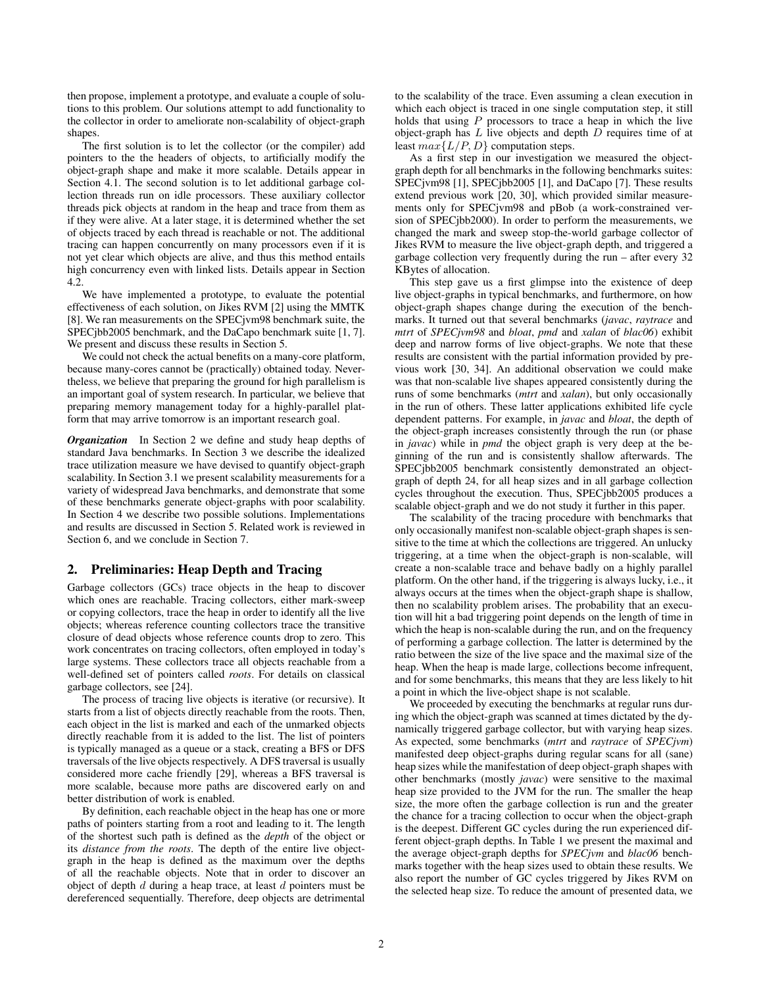then propose, implement a prototype, and evaluate a couple of solutions to this problem. Our solutions attempt to add functionality to the collector in order to ameliorate non-scalability of object-graph shapes.

The first solution is to let the collector (or the compiler) add pointers to the the headers of objects, to artificially modify the object-graph shape and make it more scalable. Details appear in Section 4.1. The second solution is to let additional garbage collection threads run on idle processors. These auxiliary collector threads pick objects at random in the heap and trace from them as if they were alive. At a later stage, it is determined whether the set of objects traced by each thread is reachable or not. The additional tracing can happen concurrently on many processors even if it is not yet clear which objects are alive, and thus this method entails high concurrency even with linked lists. Details appear in Section 4.2.

We have implemented a prototype, to evaluate the potential effectiveness of each solution, on Jikes RVM [2] using the MMTK [8]. We ran measurements on the SPECjvm98 benchmark suite, the SPECjbb2005 benchmark, and the DaCapo benchmark suite [1, 7]. We present and discuss these results in Section 5.

We could not check the actual benefits on a many-core platform, because many-cores cannot be (practically) obtained today. Nevertheless, we believe that preparing the ground for high parallelism is an important goal of system research. In particular, we believe that preparing memory management today for a highly-parallel platform that may arrive tomorrow is an important research goal.

*Organization* In Section 2 we define and study heap depths of standard Java benchmarks. In Section 3 we describe the idealized trace utilization measure we have devised to quantify object-graph scalability. In Section 3.1 we present scalability measurements for a variety of widespread Java benchmarks, and demonstrate that some of these benchmarks generate object-graphs with poor scalability. In Section 4 we describe two possible solutions. Implementations and results are discussed in Section 5. Related work is reviewed in Section 6, and we conclude in Section 7.

# 2. Preliminaries: Heap Depth and Tracing

Garbage collectors (GCs) trace objects in the heap to discover which ones are reachable. Tracing collectors, either mark-sweep or copying collectors, trace the heap in order to identify all the live objects; whereas reference counting collectors trace the transitive closure of dead objects whose reference counts drop to zero. This work concentrates on tracing collectors, often employed in today's large systems. These collectors trace all objects reachable from a well-defined set of pointers called *roots*. For details on classical garbage collectors, see [24].

The process of tracing live objects is iterative (or recursive). It starts from a list of objects directly reachable from the roots. Then, each object in the list is marked and each of the unmarked objects directly reachable from it is added to the list. The list of pointers is typically managed as a queue or a stack, creating a BFS or DFS traversals of the live objects respectively. A DFS traversal is usually considered more cache friendly [29], whereas a BFS traversal is more scalable, because more paths are discovered early on and better distribution of work is enabled.

By definition, each reachable object in the heap has one or more paths of pointers starting from a root and leading to it. The length of the shortest such path is defined as the *depth* of the object or its *distance from the roots*. The depth of the entire live objectgraph in the heap is defined as the maximum over the depths of all the reachable objects. Note that in order to discover an object of depth  $d$  during a heap trace, at least  $d$  pointers must be dereferenced sequentially. Therefore, deep objects are detrimental to the scalability of the trace. Even assuming a clean execution in which each object is traced in one single computation step, it still holds that using  $P$  processors to trace a heap in which the live object-graph has  $L$  live objects and depth  $D$  requires time of at least  $max\{L/P, D\}$  computation steps.

As a first step in our investigation we measured the objectgraph depth for all benchmarks in the following benchmarks suites: SPECjvm98 [1], SPECjbb2005 [1], and DaCapo [7]. These results extend previous work [20, 30], which provided similar measurements only for SPECjvm98 and pBob (a work-constrained version of SPECjbb2000). In order to perform the measurements, we changed the mark and sweep stop-the-world garbage collector of Jikes RVM to measure the live object-graph depth, and triggered a garbage collection very frequently during the run – after every 32 KBytes of allocation.

This step gave us a first glimpse into the existence of deep live object-graphs in typical benchmarks, and furthermore, on how object-graph shapes change during the execution of the benchmarks. It turned out that several benchmarks (*javac*, *raytrace* and *mtrt* of *SPECjvm98* and *bloat*, *pmd* and *xalan* of *blac06*) exhibit deep and narrow forms of live object-graphs. We note that these results are consistent with the partial information provided by previous work [30, 34]. An additional observation we could make was that non-scalable live shapes appeared consistently during the runs of some benchmarks (*mtrt* and *xalan*), but only occasionally in the run of others. These latter applications exhibited life cycle dependent patterns. For example, in *javac* and *bloat*, the depth of the object-graph increases consistently through the run (or phase in *javac*) while in *pmd* the object graph is very deep at the beginning of the run and is consistently shallow afterwards. The SPECjbb2005 benchmark consistently demonstrated an objectgraph of depth 24, for all heap sizes and in all garbage collection cycles throughout the execution. Thus, SPECjbb2005 produces a scalable object-graph and we do not study it further in this paper.

The scalability of the tracing procedure with benchmarks that only occasionally manifest non-scalable object-graph shapes is sensitive to the time at which the collections are triggered. An unlucky triggering, at a time when the object-graph is non-scalable, will create a non-scalable trace and behave badly on a highly parallel platform. On the other hand, if the triggering is always lucky, i.e., it always occurs at the times when the object-graph shape is shallow, then no scalability problem arises. The probability that an execution will hit a bad triggering point depends on the length of time in which the heap is non-scalable during the run, and on the frequency of performing a garbage collection. The latter is determined by the ratio between the size of the live space and the maximal size of the heap. When the heap is made large, collections become infrequent, and for some benchmarks, this means that they are less likely to hit a point in which the live-object shape is not scalable.

We proceeded by executing the benchmarks at regular runs during which the object-graph was scanned at times dictated by the dynamically triggered garbage collector, but with varying heap sizes. As expected, some benchmarks (*mtrt* and *raytrace* of *SPECjvm*) manifested deep object-graphs during regular scans for all (sane) heap sizes while the manifestation of deep object-graph shapes with other benchmarks (mostly *javac*) were sensitive to the maximal heap size provided to the JVM for the run. The smaller the heap size, the more often the garbage collection is run and the greater the chance for a tracing collection to occur when the object-graph is the deepest. Different GC cycles during the run experienced different object-graph depths. In Table 1 we present the maximal and the average object-graph depths for *SPECjvm* and *blac06* benchmarks together with the heap sizes used to obtain these results. We also report the number of GC cycles triggered by Jikes RVM on the selected heap size. To reduce the amount of presented data, we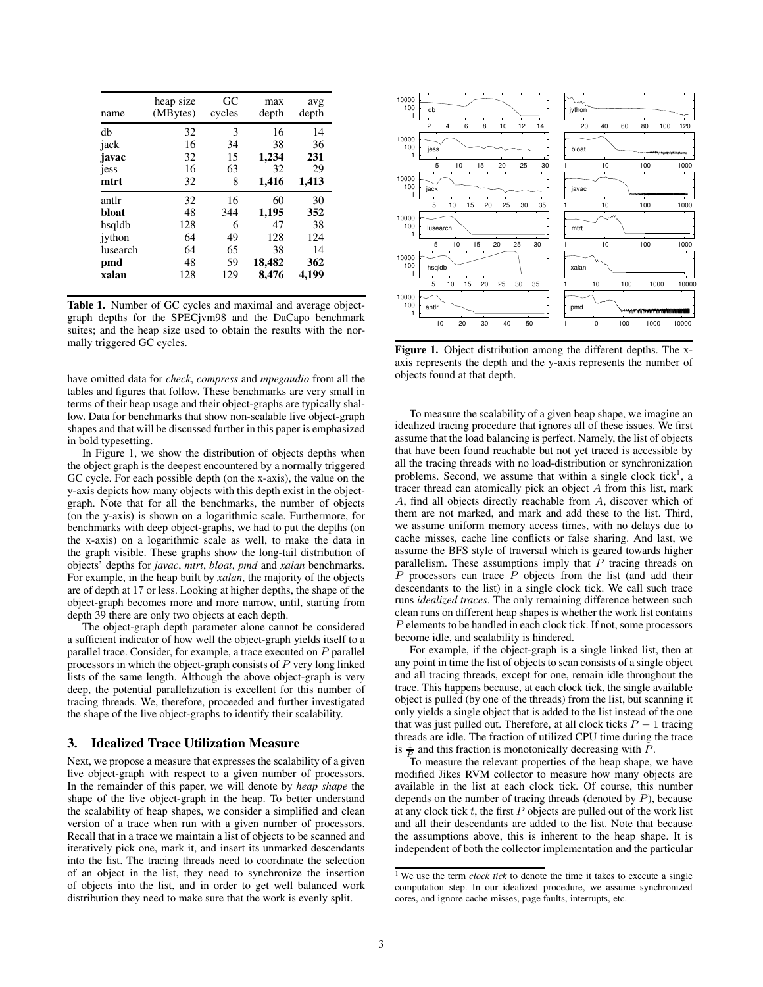| name     | heap size<br>(MBytes) | GC<br>cycles | max<br>depth | avg<br>depth |
|----------|-----------------------|--------------|--------------|--------------|
| db       | 32                    | 3            | 16           | 14           |
| jack     | 16                    | 34           | 38           | 36           |
| javac    | 32                    | 15           | 1,234        | 231          |
| jess     | 16                    | 63           | 32           | 29           |
| mtrt     | 32                    | 8            | 1,416        | 1,413        |
| antlr    | 32                    | 16           | 60           | 30           |
| bloat    | 48                    | 344          | 1,195        | 352          |
| hsqldb   | 128                   | 6            | 47           | 38           |
| iython   | 64                    | 49           | 128          | 124          |
| lusearch | 64                    | 65           | 38           | 14           |
| pmd      | 48                    | 59           | 18,482       | 362          |
| xalan    | 128                   | 129          | 8.476        | 4.199        |

Table 1. Number of GC cycles and maximal and average objectgraph depths for the SPECjvm98 and the DaCapo benchmark suites; and the heap size used to obtain the results with the normally triggered GC cycles.

have omitted data for *check*, *compress* and *mpegaudio* from all the tables and figures that follow. These benchmarks are very small in terms of their heap usage and their object-graphs are typically shallow. Data for benchmarks that show non-scalable live object-graph shapes and that will be discussed further in this paper is emphasized in bold typesetting.

In Figure 1, we show the distribution of objects depths when the object graph is the deepest encountered by a normally triggered GC cycle. For each possible depth (on the x-axis), the value on the y-axis depicts how many objects with this depth exist in the objectgraph. Note that for all the benchmarks, the number of objects (on the y-axis) is shown on a logarithmic scale. Furthermore, for benchmarks with deep object-graphs, we had to put the depths (on the x-axis) on a logarithmic scale as well, to make the data in the graph visible. These graphs show the long-tail distribution of objects' depths for *javac*, *mtrt*, *bloat*, *pmd* and *xalan* benchmarks. For example, in the heap built by *xalan*, the majority of the objects are of depth at 17 or less. Looking at higher depths, the shape of the object-graph becomes more and more narrow, until, starting from depth 39 there are only two objects at each depth.

The object-graph depth parameter alone cannot be considered a sufficient indicator of how well the object-graph yields itself to a parallel trace. Consider, for example, a trace executed on P parallel processors in which the object-graph consists of P very long linked lists of the same length. Although the above object-graph is very deep, the potential parallelization is excellent for this number of tracing threads. We, therefore, proceeded and further investigated the shape of the live object-graphs to identify their scalability.

# 3. Idealized Trace Utilization Measure

Next, we propose a measure that expresses the scalability of a given live object-graph with respect to a given number of processors. In the remainder of this paper, we will denote by *heap shape* the shape of the live object-graph in the heap. To better understand the scalability of heap shapes, we consider a simplified and clean version of a trace when run with a given number of processors. Recall that in a trace we maintain a list of objects to be scanned and iteratively pick one, mark it, and insert its unmarked descendants into the list. The tracing threads need to coordinate the selection of an object in the list, they need to synchronize the insertion of objects into the list, and in order to get well balanced work distribution they need to make sure that the work is evenly split.



Figure 1. Object distribution among the different depths. The xaxis represents the depth and the y-axis represents the number of objects found at that depth.

To measure the scalability of a given heap shape, we imagine an idealized tracing procedure that ignores all of these issues. We first assume that the load balancing is perfect. Namely, the list of objects that have been found reachable but not yet traced is accessible by all the tracing threads with no load-distribution or synchronization problems. Second, we assume that within a single clock tick<sup>1</sup>, a tracer thread can atomically pick an object A from this list, mark A, find all objects directly reachable from A, discover which of them are not marked, and mark and add these to the list. Third, we assume uniform memory access times, with no delays due to cache misses, cache line conflicts or false sharing. And last, we assume the BFS style of traversal which is geared towards higher parallelism. These assumptions imply that  $P$  tracing threads on  $\overline{P}$  processors can trace  $\overline{P}$  objects from the list (and add their descendants to the list) in a single clock tick. We call such trace runs *idealized traces*. The only remaining difference between such clean runs on different heap shapes is whether the work list contains P elements to be handled in each clock tick. If not, some processors become idle, and scalability is hindered.

For example, if the object-graph is a single linked list, then at any point in time the list of objects to scan consists of a single object and all tracing threads, except for one, remain idle throughout the trace. This happens because, at each clock tick, the single available object is pulled (by one of the threads) from the list, but scanning it only yields a single object that is added to the list instead of the one that was just pulled out. Therefore, at all clock ticks  $P - 1$  tracing threads are idle. The fraction of utilized CPU time during the trace is  $\frac{1}{P}$  and this fraction is monotonically decreasing with  $\overline{P}$ .

To measure the relevant properties of the heap shape, we have modified Jikes RVM collector to measure how many objects are available in the list at each clock tick. Of course, this number depends on the number of tracing threads (denoted by  $P$ ), because at any clock tick  $t$ , the first  $P$  objects are pulled out of the work list and all their descendants are added to the list. Note that because the assumptions above, this is inherent to the heap shape. It is independent of both the collector implementation and the particular

<sup>&</sup>lt;sup>1</sup> We use the term *clock tick* to denote the time it takes to execute a single computation step. In our idealized procedure, we assume synchronized cores, and ignore cache misses, page faults, interrupts, etc.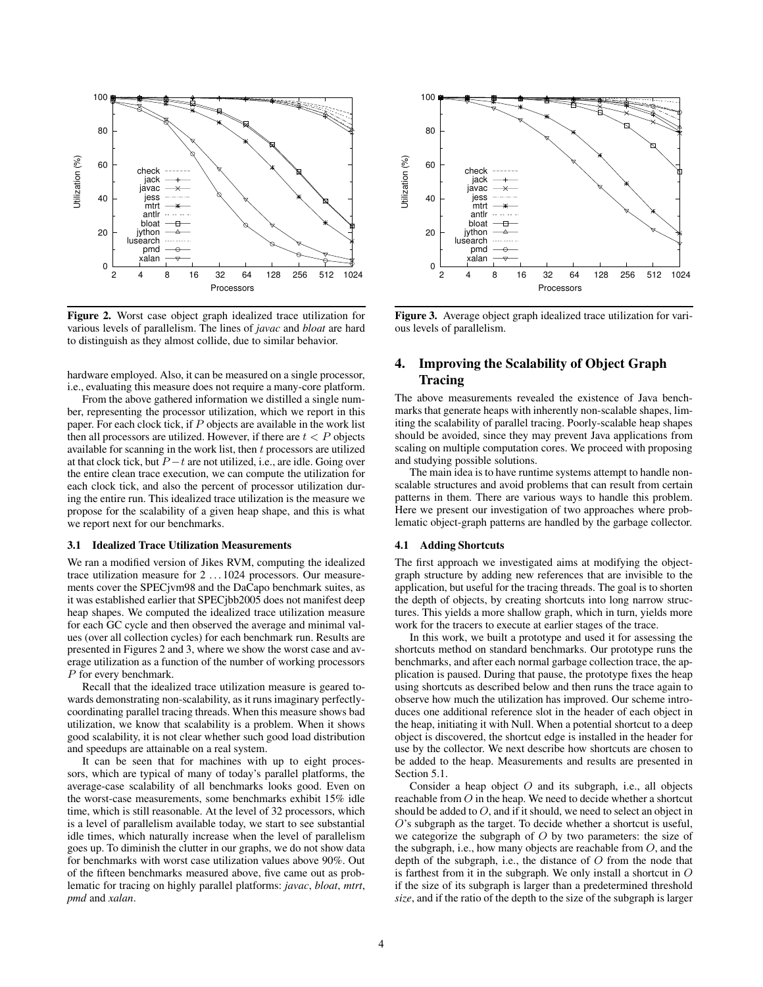

Figure 2. Worst case object graph idealized trace utilization for various levels of parallelism. The lines of *javac* and *bloat* are hard to distinguish as they almost collide, due to similar behavior.

hardware employed. Also, it can be measured on a single processor, i.e., evaluating this measure does not require a many-core platform.

From the above gathered information we distilled a single number, representing the processor utilization, which we report in this paper. For each clock tick, if  $P$  objects are available in the work list then all processors are utilized. However, if there are  $t < P$  objects available for scanning in the work list, then  $t$  processors are utilized at that clock tick, but  $P - t$  are not utilized, i.e., are idle. Going over the entire clean trace execution, we can compute the utilization for each clock tick, and also the percent of processor utilization during the entire run. This idealized trace utilization is the measure we propose for the scalability of a given heap shape, and this is what we report next for our benchmarks.

#### 3.1 Idealized Trace Utilization Measurements

We ran a modified version of Jikes RVM, computing the idealized trace utilization measure for 2 . . . 1024 processors. Our measurements cover the SPECjvm98 and the DaCapo benchmark suites, as it was established earlier that SPECjbb2005 does not manifest deep heap shapes. We computed the idealized trace utilization measure for each GC cycle and then observed the average and minimal values (over all collection cycles) for each benchmark run. Results are presented in Figures 2 and 3, where we show the worst case and average utilization as a function of the number of working processors P for every benchmark.

Recall that the idealized trace utilization measure is geared towards demonstrating non-scalability, as it runs imaginary perfectlycoordinating parallel tracing threads. When this measure shows bad utilization, we know that scalability is a problem. When it shows good scalability, it is not clear whether such good load distribution and speedups are attainable on a real system.

It can be seen that for machines with up to eight processors, which are typical of many of today's parallel platforms, the average-case scalability of all benchmarks looks good. Even on the worst-case measurements, some benchmarks exhibit 15% idle time, which is still reasonable. At the level of 32 processors, which is a level of parallelism available today, we start to see substantial idle times, which naturally increase when the level of parallelism goes up. To diminish the clutter in our graphs, we do not show data for benchmarks with worst case utilization values above 90%. Out of the fifteen benchmarks measured above, five came out as problematic for tracing on highly parallel platforms: *javac*, *bloat*, *mtrt*, *pmd* and *xalan*.



Figure 3. Average object graph idealized trace utilization for various levels of parallelism.

# 4. Improving the Scalability of Object Graph Tracing

The above measurements revealed the existence of Java benchmarks that generate heaps with inherently non-scalable shapes, limiting the scalability of parallel tracing. Poorly-scalable heap shapes should be avoided, since they may prevent Java applications from scaling on multiple computation cores. We proceed with proposing and studying possible solutions.

The main idea is to have runtime systems attempt to handle nonscalable structures and avoid problems that can result from certain patterns in them. There are various ways to handle this problem. Here we present our investigation of two approaches where problematic object-graph patterns are handled by the garbage collector.

#### 4.1 Adding Shortcuts

The first approach we investigated aims at modifying the objectgraph structure by adding new references that are invisible to the application, but useful for the tracing threads. The goal is to shorten the depth of objects, by creating shortcuts into long narrow structures. This yields a more shallow graph, which in turn, yields more work for the tracers to execute at earlier stages of the trace.

In this work, we built a prototype and used it for assessing the shortcuts method on standard benchmarks. Our prototype runs the benchmarks, and after each normal garbage collection trace, the application is paused. During that pause, the prototype fixes the heap using shortcuts as described below and then runs the trace again to observe how much the utilization has improved. Our scheme introduces one additional reference slot in the header of each object in the heap, initiating it with Null. When a potential shortcut to a deep object is discovered, the shortcut edge is installed in the header for use by the collector. We next describe how shortcuts are chosen to be added to the heap. Measurements and results are presented in Section 5.1.

Consider a heap object  $O$  and its subgraph, i.e., all objects reachable from O in the heap. We need to decide whether a shortcut should be added to  $O$ , and if it should, we need to select an object in O's subgraph as the target. To decide whether a shortcut is useful, we categorize the subgraph of  $O$  by two parameters: the size of the subgraph, i.e., how many objects are reachable from O, and the depth of the subgraph, i.e., the distance of  $O$  from the node that is farthest from it in the subgraph. We only install a shortcut in  $O$ if the size of its subgraph is larger than a predetermined threshold *size*, and if the ratio of the depth to the size of the subgraph is larger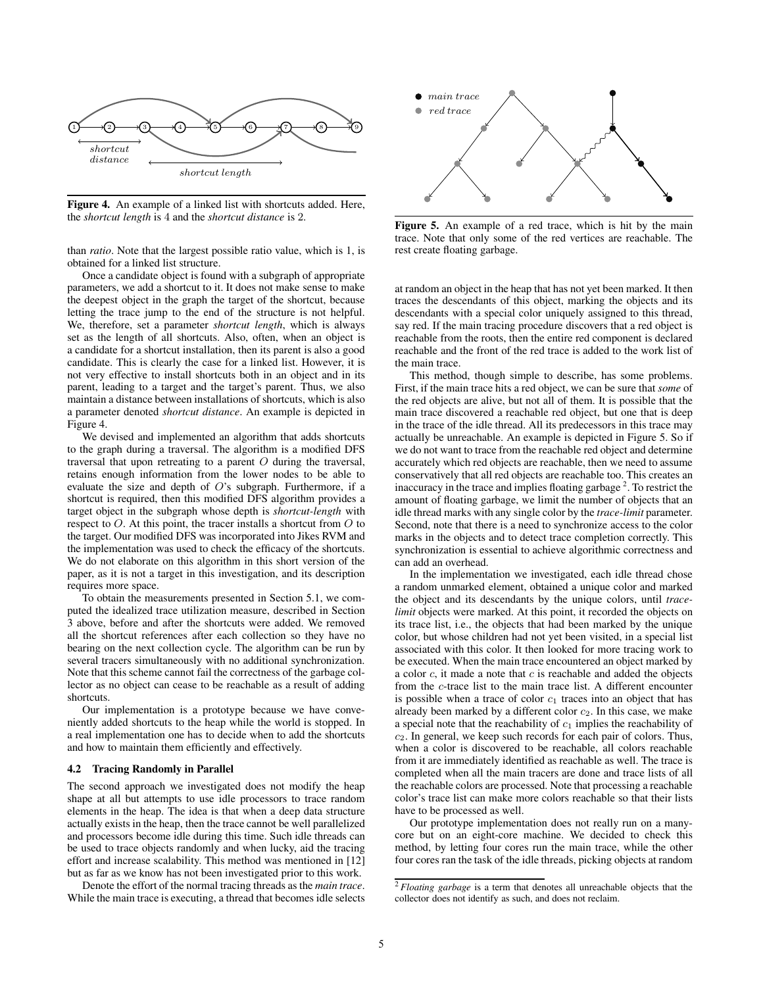

Figure 4. An example of a linked list with shortcuts added. Here, the *shortcut length* is 4 and the *shortcut distance* is 2.

than *ratio*. Note that the largest possible ratio value, which is 1, is obtained for a linked list structure.

Once a candidate object is found with a subgraph of appropriate parameters, we add a shortcut to it. It does not make sense to make the deepest object in the graph the target of the shortcut, because letting the trace jump to the end of the structure is not helpful. We, therefore, set a parameter *shortcut length*, which is always set as the length of all shortcuts. Also, often, when an object is a candidate for a shortcut installation, then its parent is also a good candidate. This is clearly the case for a linked list. However, it is not very effective to install shortcuts both in an object and in its parent, leading to a target and the target's parent. Thus, we also maintain a distance between installations of shortcuts, which is also a parameter denoted *shortcut distance*. An example is depicted in Figure 4.

We devised and implemented an algorithm that adds shortcuts to the graph during a traversal. The algorithm is a modified DFS traversal that upon retreating to a parent O during the traversal, retains enough information from the lower nodes to be able to evaluate the size and depth of O's subgraph. Furthermore, if a shortcut is required, then this modified DFS algorithm provides a target object in the subgraph whose depth is *shortcut-length* with respect to O. At this point, the tracer installs a shortcut from O to the target. Our modified DFS was incorporated into Jikes RVM and the implementation was used to check the efficacy of the shortcuts. We do not elaborate on this algorithm in this short version of the paper, as it is not a target in this investigation, and its description requires more space.

To obtain the measurements presented in Section 5.1, we computed the idealized trace utilization measure, described in Section 3 above, before and after the shortcuts were added. We removed all the shortcut references after each collection so they have no bearing on the next collection cycle. The algorithm can be run by several tracers simultaneously with no additional synchronization. Note that this scheme cannot fail the correctness of the garbage collector as no object can cease to be reachable as a result of adding shortcuts.

Our implementation is a prototype because we have conveniently added shortcuts to the heap while the world is stopped. In a real implementation one has to decide when to add the shortcuts and how to maintain them efficiently and effectively.

#### 4.2 Tracing Randomly in Parallel

The second approach we investigated does not modify the heap shape at all but attempts to use idle processors to trace random elements in the heap. The idea is that when a deep data structure actually exists in the heap, then the trace cannot be well parallelized and processors become idle during this time. Such idle threads can be used to trace objects randomly and when lucky, aid the tracing effort and increase scalability. This method was mentioned in [12] but as far as we know has not been investigated prior to this work.

Denote the effort of the normal tracing threads as the *main trace*. While the main trace is executing, a thread that becomes idle selects



Figure 5. An example of a red trace, which is hit by the main trace. Note that only some of the red vertices are reachable. The rest create floating garbage.

at random an object in the heap that has not yet been marked. It then traces the descendants of this object, marking the objects and its descendants with a special color uniquely assigned to this thread, say red. If the main tracing procedure discovers that a red object is reachable from the roots, then the entire red component is declared reachable and the front of the red trace is added to the work list of the main trace.

This method, though simple to describe, has some problems. First, if the main trace hits a red object, we can be sure that *some* of the red objects are alive, but not all of them. It is possible that the main trace discovered a reachable red object, but one that is deep in the trace of the idle thread. All its predecessors in this trace may actually be unreachable. An example is depicted in Figure 5. So if we do not want to trace from the reachable red object and determine accurately which red objects are reachable, then we need to assume conservatively that all red objects are reachable too. This creates an inaccuracy in the trace and implies floating garbage<sup>2</sup>. To restrict the amount of floating garbage, we limit the number of objects that an idle thread marks with any single color by the *trace-limit* parameter. Second, note that there is a need to synchronize access to the color marks in the objects and to detect trace completion correctly. This synchronization is essential to achieve algorithmic correctness and can add an overhead.

In the implementation we investigated, each idle thread chose a random unmarked element, obtained a unique color and marked the object and its descendants by the unique colors, until *tracelimit* objects were marked. At this point, it recorded the objects on its trace list, i.e., the objects that had been marked by the unique color, but whose children had not yet been visited, in a special list associated with this color. It then looked for more tracing work to be executed. When the main trace encountered an object marked by a color  $c$ , it made a note that  $c$  is reachable and added the objects from the c-trace list to the main trace list. A different encounter is possible when a trace of color  $c_1$  traces into an object that has already been marked by a different color  $c_2$ . In this case, we make a special note that the reachability of  $c_1$  implies the reachability of  $c<sub>2</sub>$ . In general, we keep such records for each pair of colors. Thus, when a color is discovered to be reachable, all colors reachable from it are immediately identified as reachable as well. The trace is completed when all the main tracers are done and trace lists of all the reachable colors are processed. Note that processing a reachable color's trace list can make more colors reachable so that their lists have to be processed as well.

Our prototype implementation does not really run on a manycore but on an eight-core machine. We decided to check this method, by letting four cores run the main trace, while the other four cores ran the task of the idle threads, picking objects at random

<sup>2</sup> *Floating garbage* is a term that denotes all unreachable objects that the collector does not identify as such, and does not reclaim.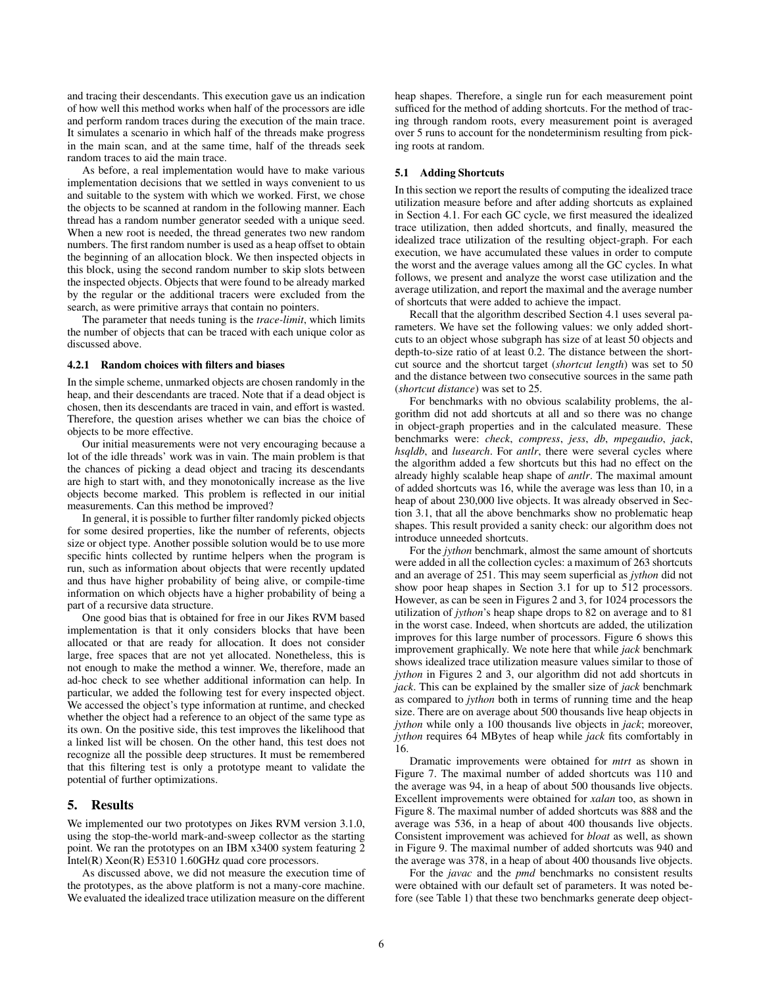and tracing their descendants. This execution gave us an indication of how well this method works when half of the processors are idle and perform random traces during the execution of the main trace. It simulates a scenario in which half of the threads make progress in the main scan, and at the same time, half of the threads seek random traces to aid the main trace.

As before, a real implementation would have to make various implementation decisions that we settled in ways convenient to us and suitable to the system with which we worked. First, we chose the objects to be scanned at random in the following manner. Each thread has a random number generator seeded with a unique seed. When a new root is needed, the thread generates two new random numbers. The first random number is used as a heap offset to obtain the beginning of an allocation block. We then inspected objects in this block, using the second random number to skip slots between the inspected objects. Objects that were found to be already marked by the regular or the additional tracers were excluded from the search, as were primitive arrays that contain no pointers.

The parameter that needs tuning is the *trace-limit*, which limits the number of objects that can be traced with each unique color as discussed above.

#### 4.2.1 Random choices with filters and biases

In the simple scheme, unmarked objects are chosen randomly in the heap, and their descendants are traced. Note that if a dead object is chosen, then its descendants are traced in vain, and effort is wasted. Therefore, the question arises whether we can bias the choice of objects to be more effective.

Our initial measurements were not very encouraging because a lot of the idle threads' work was in vain. The main problem is that the chances of picking a dead object and tracing its descendants are high to start with, and they monotonically increase as the live objects become marked. This problem is reflected in our initial measurements. Can this method be improved?

In general, it is possible to further filter randomly picked objects for some desired properties, like the number of referents, objects size or object type. Another possible solution would be to use more specific hints collected by runtime helpers when the program is run, such as information about objects that were recently updated and thus have higher probability of being alive, or compile-time information on which objects have a higher probability of being a part of a recursive data structure.

One good bias that is obtained for free in our Jikes RVM based implementation is that it only considers blocks that have been allocated or that are ready for allocation. It does not consider large, free spaces that are not yet allocated. Nonetheless, this is not enough to make the method a winner. We, therefore, made an ad-hoc check to see whether additional information can help. In particular, we added the following test for every inspected object. We accessed the object's type information at runtime, and checked whether the object had a reference to an object of the same type as its own. On the positive side, this test improves the likelihood that a linked list will be chosen. On the other hand, this test does not recognize all the possible deep structures. It must be remembered that this filtering test is only a prototype meant to validate the potential of further optimizations.

#### 5. Results

We implemented our two prototypes on Jikes RVM version 3.1.0, using the stop-the-world mark-and-sweep collector as the starting point. We ran the prototypes on an IBM x3400 system featuring 2 Intel(R) Xeon(R) E5310 1.60GHz quad core processors.

As discussed above, we did not measure the execution time of the prototypes, as the above platform is not a many-core machine. We evaluated the idealized trace utilization measure on the different heap shapes. Therefore, a single run for each measurement point sufficed for the method of adding shortcuts. For the method of tracing through random roots, every measurement point is averaged over 5 runs to account for the nondeterminism resulting from picking roots at random.

#### 5.1 Adding Shortcuts

In this section we report the results of computing the idealized trace utilization measure before and after adding shortcuts as explained in Section 4.1. For each GC cycle, we first measured the idealized trace utilization, then added shortcuts, and finally, measured the idealized trace utilization of the resulting object-graph. For each execution, we have accumulated these values in order to compute the worst and the average values among all the GC cycles. In what follows, we present and analyze the worst case utilization and the average utilization, and report the maximal and the average number of shortcuts that were added to achieve the impact.

Recall that the algorithm described Section 4.1 uses several parameters. We have set the following values: we only added shortcuts to an object whose subgraph has size of at least 50 objects and depth-to-size ratio of at least 0.2. The distance between the shortcut source and the shortcut target (*shortcut length*) was set to 50 and the distance between two consecutive sources in the same path (*shortcut distance*) was set to 25.

For benchmarks with no obvious scalability problems, the algorithm did not add shortcuts at all and so there was no change in object-graph properties and in the calculated measure. These benchmarks were: *check*, *compress*, *jess*, *db*, *mpegaudio*, *jack*, *hsqldb*, and *lusearch*. For *antlr*, there were several cycles where the algorithm added a few shortcuts but this had no effect on the already highly scalable heap shape of *antlr*. The maximal amount of added shortcuts was 16, while the average was less than 10, in a heap of about 230,000 live objects. It was already observed in Section 3.1, that all the above benchmarks show no problematic heap shapes. This result provided a sanity check: our algorithm does not introduce unneeded shortcuts.

For the *jython* benchmark, almost the same amount of shortcuts were added in all the collection cycles: a maximum of 263 shortcuts and an average of 251. This may seem superficial as *jython* did not show poor heap shapes in Section 3.1 for up to 512 processors. However, as can be seen in Figures 2 and 3, for 1024 processors the utilization of *jython*'s heap shape drops to 82 on average and to 81 in the worst case. Indeed, when shortcuts are added, the utilization improves for this large number of processors. Figure 6 shows this improvement graphically. We note here that while *jack* benchmark shows idealized trace utilization measure values similar to those of *jython* in Figures 2 and 3, our algorithm did not add shortcuts in *jack*. This can be explained by the smaller size of *jack* benchmark as compared to *jython* both in terms of running time and the heap size. There are on average about 500 thousands live heap objects in *jython* while only a 100 thousands live objects in *jack*; moreover, *jython* requires 64 MBytes of heap while *jack* fits comfortably in 16.

Dramatic improvements were obtained for *mtrt* as shown in Figure 7. The maximal number of added shortcuts was 110 and the average was 94, in a heap of about 500 thousands live objects. Excellent improvements were obtained for *xalan* too, as shown in Figure 8. The maximal number of added shortcuts was 888 and the average was 536, in a heap of about 400 thousands live objects. Consistent improvement was achieved for *bloat* as well, as shown in Figure 9. The maximal number of added shortcuts was 940 and the average was 378, in a heap of about 400 thousands live objects.

For the *javac* and the *pmd* benchmarks no consistent results were obtained with our default set of parameters. It was noted before (see Table 1) that these two benchmarks generate deep object-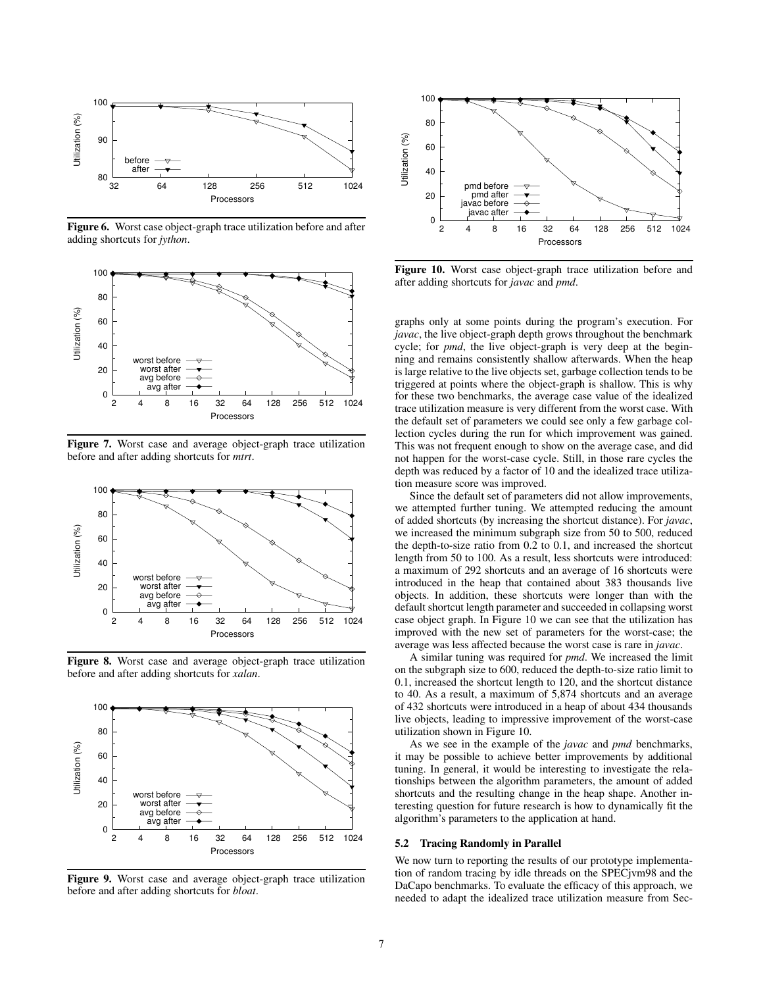

Figure 6. Worst case object-graph trace utilization before and after adding shortcuts for *jython*.



Figure 7. Worst case and average object-graph trace utilization before and after adding shortcuts for *mtrt*.



Figure 8. Worst case and average object-graph trace utilization before and after adding shortcuts for *xalan*.



Figure 9. Worst case and average object-graph trace utilization before and after adding shortcuts for *bloat*.



Figure 10. Worst case object-graph trace utilization before and after adding shortcuts for *javac* and *pmd*.

graphs only at some points during the program's execution. For *javac*, the live object-graph depth grows throughout the benchmark cycle; for *pmd*, the live object-graph is very deep at the beginning and remains consistently shallow afterwards. When the heap is large relative to the live objects set, garbage collection tends to be triggered at points where the object-graph is shallow. This is why for these two benchmarks, the average case value of the idealized trace utilization measure is very different from the worst case. With the default set of parameters we could see only a few garbage collection cycles during the run for which improvement was gained. This was not frequent enough to show on the average case, and did not happen for the worst-case cycle. Still, in those rare cycles the depth was reduced by a factor of 10 and the idealized trace utilization measure score was improved.

Since the default set of parameters did not allow improvements, we attempted further tuning. We attempted reducing the amount of added shortcuts (by increasing the shortcut distance). For *javac*, we increased the minimum subgraph size from 50 to 500, reduced the depth-to-size ratio from 0.2 to 0.1, and increased the shortcut length from 50 to 100. As a result, less shortcuts were introduced: a maximum of 292 shortcuts and an average of 16 shortcuts were introduced in the heap that contained about 383 thousands live objects. In addition, these shortcuts were longer than with the default shortcut length parameter and succeeded in collapsing worst case object graph. In Figure 10 we can see that the utilization has improved with the new set of parameters for the worst-case; the average was less affected because the worst case is rare in *javac*.

A similar tuning was required for *pmd*. We increased the limit on the subgraph size to 600, reduced the depth-to-size ratio limit to 0.1, increased the shortcut length to 120, and the shortcut distance to 40. As a result, a maximum of 5,874 shortcuts and an average of 432 shortcuts were introduced in a heap of about 434 thousands live objects, leading to impressive improvement of the worst-case utilization shown in Figure 10.

As we see in the example of the *javac* and *pmd* benchmarks, it may be possible to achieve better improvements by additional tuning. In general, it would be interesting to investigate the relationships between the algorithm parameters, the amount of added shortcuts and the resulting change in the heap shape. Another interesting question for future research is how to dynamically fit the algorithm's parameters to the application at hand.

#### 5.2 Tracing Randomly in Parallel

We now turn to reporting the results of our prototype implementation of random tracing by idle threads on the SPECjvm98 and the DaCapo benchmarks. To evaluate the efficacy of this approach, we needed to adapt the idealized trace utilization measure from Sec-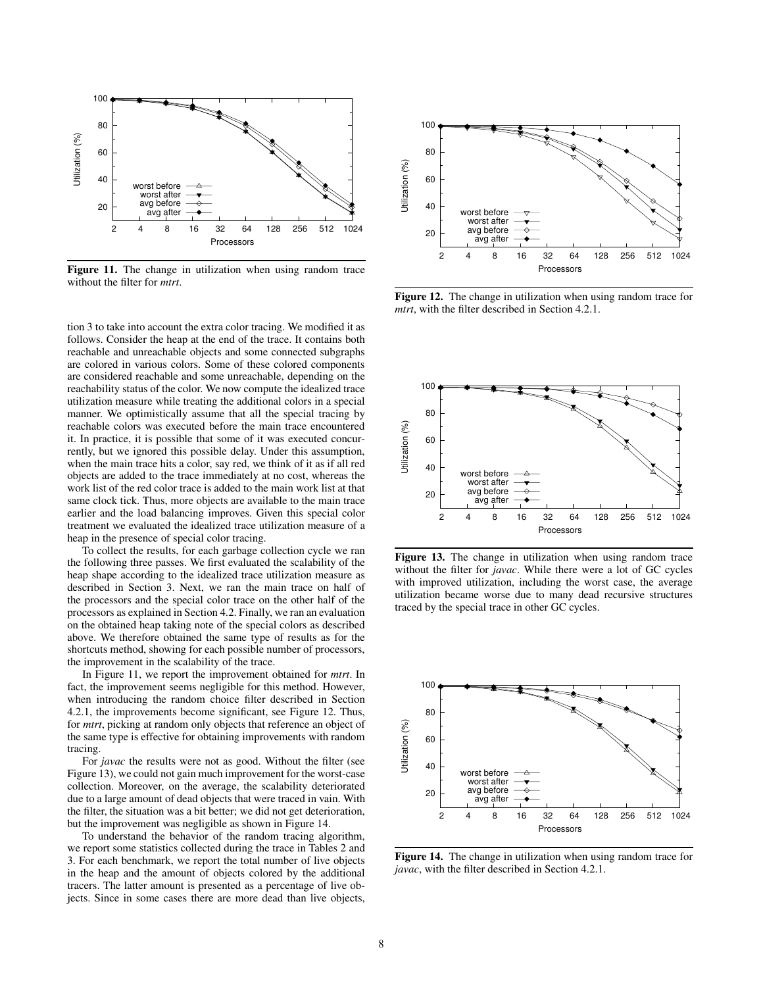

Figure 11. The change in utilization when using random trace without the filter for *mtrt*.

tion 3 to take into account the extra color tracing. We modified it as follows. Consider the heap at the end of the trace. It contains both reachable and unreachable objects and some connected subgraphs are colored in various colors. Some of these colored components are considered reachable and some unreachable, depending on the reachability status of the color. We now compute the idealized trace utilization measure while treating the additional colors in a special manner. We optimistically assume that all the special tracing by reachable colors was executed before the main trace encountered it. In practice, it is possible that some of it was executed concurrently, but we ignored this possible delay. Under this assumption, when the main trace hits a color, say red, we think of it as if all red objects are added to the trace immediately at no cost, whereas the work list of the red color trace is added to the main work list at that same clock tick. Thus, more objects are available to the main trace earlier and the load balancing improves. Given this special color treatment we evaluated the idealized trace utilization measure of a heap in the presence of special color tracing.

To collect the results, for each garbage collection cycle we ran the following three passes. We first evaluated the scalability of the heap shape according to the idealized trace utilization measure as described in Section 3. Next, we ran the main trace on half of the processors and the special color trace on the other half of the processors as explained in Section 4.2. Finally, we ran an evaluation on the obtained heap taking note of the special colors as described above. We therefore obtained the same type of results as for the shortcuts method, showing for each possible number of processors, the improvement in the scalability of the trace.

In Figure 11, we report the improvement obtained for *mtrt*. In fact, the improvement seems negligible for this method. However, when introducing the random choice filter described in Section 4.2.1, the improvements become significant, see Figure 12. Thus, for *mtrt*, picking at random only objects that reference an object of the same type is effective for obtaining improvements with random tracing.

For *javac* the results were not as good. Without the filter (see Figure 13), we could not gain much improvement for the worst-case collection. Moreover, on the average, the scalability deteriorated due to a large amount of dead objects that were traced in vain. With the filter, the situation was a bit better; we did not get deterioration, but the improvement was negligible as shown in Figure 14.

To understand the behavior of the random tracing algorithm, we report some statistics collected during the trace in Tables 2 and 3. For each benchmark, we report the total number of live objects in the heap and the amount of objects colored by the additional tracers. The latter amount is presented as a percentage of live objects. Since in some cases there are more dead than live objects,



Figure 12. The change in utilization when using random trace for *mtrt*, with the filter described in Section 4.2.1.



Figure 13. The change in utilization when using random trace without the filter for *javac*. While there were a lot of GC cycles with improved utilization, including the worst case, the average utilization became worse due to many dead recursive structures traced by the special trace in other GC cycles.



Figure 14. The change in utilization when using random trace for *javac*, with the filter described in Section 4.2.1.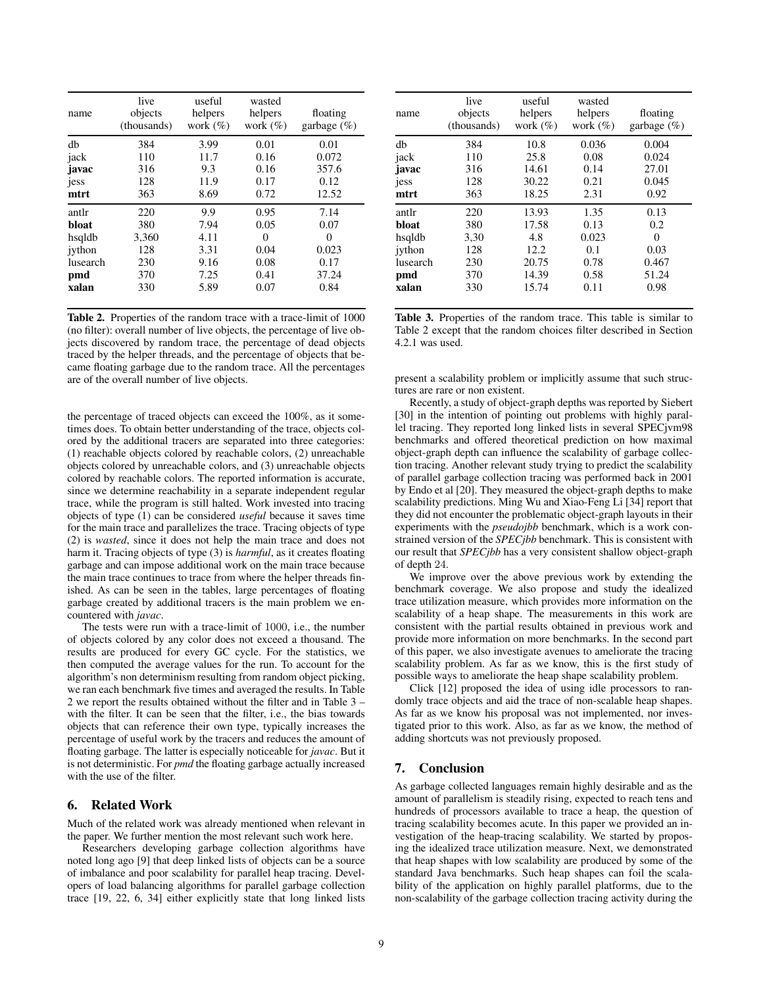| name     | live<br>objects<br>(thousands) | useful<br>helpers<br>work $(\%)$ | wasted<br>helpers<br>work $(\% )$ | floating<br>garbage $(\%)$ |
|----------|--------------------------------|----------------------------------|-----------------------------------|----------------------------|
| db       | 384                            | 3.99                             | 0.01                              | 0.01                       |
| jack     | 110                            | 11.7                             | 0.16                              | 0.072                      |
| javac    | 316                            | 9.3                              | 0.16                              | 357.6                      |
| jess     | 128                            | 11.9                             | 0.17                              | 0.12                       |
| mtrt     | 363                            | 8.69                             | 0.72                              | 12.52                      |
| antlr    | 220                            | 9.9                              | 0.95                              | 7.14                       |
| bloat    | 380                            | 7.94                             | 0.05                              | 0.07                       |
| hsqldb   | 3,360                          | 4.11                             | 0                                 | 0                          |
| iython   | 128                            | 3.31                             | 0.04                              | 0.023                      |
| lusearch | 230                            | 9.16                             | 0.08                              | 0.17                       |
| pmd      | 370                            | 7.25                             | 0.41                              | 37.24                      |
| xalan    | 330                            | 5.89                             | 0.07                              | 0.84                       |

Table 2. Properties of the random trace with a trace-limit of 1000 (no filter): overall number of live objects, the percentage of live objects discovered by random trace, the percentage of dead objects traced by the helper threads, and the percentage of objects that became floating garbage due to the random trace. All the percentages are of the overall number of live objects.

the percentage of traced objects can exceed the 100%, as it sometimes does. To obtain better understanding of the trace, objects colored by the additional tracers are separated into three categories: (1) reachable objects colored by reachable colors, (2) unreachable objects colored by unreachable colors, and (3) unreachable objects colored by reachable colors. The reported information is accurate, since we determine reachability in a separate independent regular trace, while the program is still halted. Work invested into tracing objects of type (1) can be considered *useful* because it saves time for the main trace and parallelizes the trace. Tracing objects of type (2) is *wasted*, since it does not help the main trace and does not harm it. Tracing objects of type (3) is *harmful*, as it creates floating garbage and can impose additional work on the main trace because the main trace continues to trace from where the helper threads finished. As can be seen in the tables, large percentages of floating garbage created by additional tracers is the main problem we encountered with *javac*.

The tests were run with a trace-limit of 1000, i.e., the number of objects colored by any color does not exceed a thousand. The results are produced for every GC cycle. For the statistics, we then computed the average values for the run. To account for the algorithm's non determinism resulting from random object picking, we ran each benchmark five times and averaged the results. In Table 2 we report the results obtained without the filter and in Table 3 – with the filter. It can be seen that the filter, i.e., the bias towards objects that can reference their own type, typically increases the percentage of useful work by the tracers and reduces the amount of floating garbage. The latter is especially noticeable for *javac*. But it is not deterministic. For *pmd* the floating garbage actually increased with the use of the filter.

# 6. Related Work

Much of the related work was already mentioned when relevant in the paper. We further mention the most relevant such work here.

Researchers developing garbage collection algorithms have noted long ago [9] that deep linked lists of objects can be a source of imbalance and poor scalability for parallel heap tracing. Developers of load balancing algorithms for parallel garbage collection trace [19, 22, 6, 34] either explicitly state that long linked lists

| name     | live<br>objects<br>(thousands) | useful<br>helpers<br>work $(\%)$ | wasted<br>helpers<br>work $(\%)$ | floating<br>garbage $(\%)$ |
|----------|--------------------------------|----------------------------------|----------------------------------|----------------------------|
| db       | 384                            | 10.8                             | 0.036                            | 0.004                      |
| jack     | 110                            | 25.8                             | 0.08                             | 0.024                      |
| javac    | 316                            | 14.61                            | 0.14                             | 27.01                      |
| jess     | 128                            | 30.22                            | 0.21                             | 0.045                      |
| mtrt     | 363                            | 18.25                            | 2.31                             | 0.92                       |
| antlr    | 220                            | 13.93                            | 1.35                             | 0.13                       |
| bloat    | 380                            | 17.58                            | 0.13                             | 0.2                        |
| hsqldb   | 3,30                           | 4.8                              | 0.023                            | $\Omega$                   |
| iython   | 128                            | 12.2                             | 0.1                              | 0.03                       |
| lusearch | 230                            | 20.75                            | 0.78                             | 0.467                      |
| pmd      | 370                            | 14.39                            | 0.58                             | 51.24                      |
| xalan    | 330                            | 15.74                            | 0.11                             | 0.98                       |

Table 3. Properties of the random trace. This table is similar to Table 2 except that the random choices filter described in Section 4.2.1 was used.

present a scalability problem or implicitly assume that such structures are rare or non existent.

Recently, a study of object-graph depths was reported by Siebert [30] in the intention of pointing out problems with highly parallel tracing. They reported long linked lists in several SPECjvm98 benchmarks and offered theoretical prediction on how maximal object-graph depth can influence the scalability of garbage collection tracing. Another relevant study trying to predict the scalability of parallel garbage collection tracing was performed back in 2001 by Endo et al [20]. They measured the object-graph depths to make scalability predictions. Ming Wu and Xiao-Feng Li [34] report that they did not encounter the problematic object-graph layouts in their experiments with the *pseudojbb* benchmark, which is a work constrained version of the *SPECjbb* benchmark. This is consistent with our result that *SPECjbb* has a very consistent shallow object-graph of depth 24.

We improve over the above previous work by extending the benchmark coverage. We also propose and study the idealized trace utilization measure, which provides more information on the scalability of a heap shape. The measurements in this work are consistent with the partial results obtained in previous work and provide more information on more benchmarks. In the second part of this paper, we also investigate avenues to ameliorate the tracing scalability problem. As far as we know, this is the first study of possible ways to ameliorate the heap shape scalability problem.

Click [12] proposed the idea of using idle processors to randomly trace objects and aid the trace of non-scalable heap shapes. As far as we know his proposal was not implemented, nor investigated prior to this work. Also, as far as we know, the method of adding shortcuts was not previously proposed.

# 7. Conclusion

As garbage collected languages remain highly desirable and as the amount of parallelism is steadily rising, expected to reach tens and hundreds of processors available to trace a heap, the question of tracing scalability becomes acute. In this paper we provided an investigation of the heap-tracing scalability. We started by proposing the idealized trace utilization measure. Next, we demonstrated that heap shapes with low scalability are produced by some of the standard Java benchmarks. Such heap shapes can foil the scalability of the application on highly parallel platforms, due to the non-scalability of the garbage collection tracing activity during the